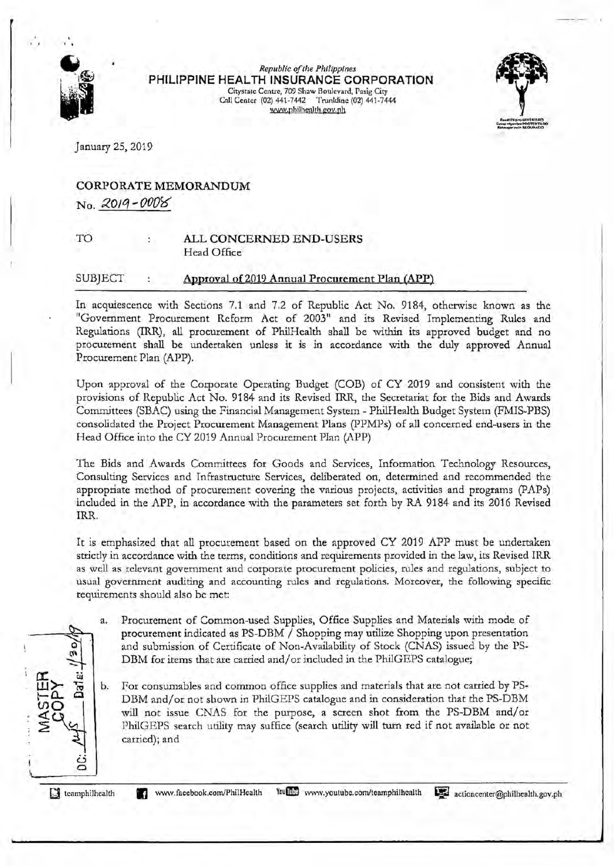

 $Republic$  of the Philippines **PHILIPPINE HEALTH INSURANCE CORPORATION**  Citystate Centre, 709 Shaw Boulevard, Pasig City Call Center (02) 441-7442 Trunldine (02) 441-7444 WW\v.philhenlth.goy.ph



January 25, 2019

## **CORPORATE MEMORANDUM**  No. 2019-0008

TO

### **ALL CONCERNED END-USERS**  Head Office

#### SUBJECT **Approval of2019 Annual Procurement Plan (APP)**

In acquiescence with Sections 7.1 and 7.2 of Republic Act No. 9184, otherwise known as the "Government Procurement Reform Act of 2003" and its Revised Implementing Rules and Regulations (IRR), all procurement of PhilHealth shall be withln its approved budget and no procurement shall be undertaken unless it is in accordance with the duly approved Annual Procurement Plan (APP).

Upon approval of the Corporate Operating Budget (COB) of CY 2019 and consistent with the provisions of Republic Act No. 9184 and its Revised IRR, the Secretariat for the Bids and Awards Committees (SBAC) using the Financial Management System - PhilHealth Budget System (FMIS-PBS) consolidated the Project Procurement Management Plans (PPMPs) of all concerned end-users in the Head Office into the CY 2019 Annual Procurement Plan (APP)

The Bids and Awards Committees for Goods and Services, Information Technology Resources, Consulting Services and Infrastructure Services, deliberated on, determined and recommended the appropriate method of procurement covering the various projects, activities and programs (PAPs) included in the APP, in accordance with the parameters set forth by RA 9184 and its 2016 Revised IRR.

It is emphasized that all procurement based on the approved CY 2019 APP must be undertaken stricdy in accordance with the terms, conditions and requirements provided in the law, its Revised IRR as well as relevant government and corporate procurement policies, rules and regulations, subject to usual government auditing and accounting rules and regulations. Moreover, the following specific requirements should also be met:

- a. Procurement of Common-used Supplies, Office Supplies and Materials with mode of procurement indicated as PS-DBM / Shopping may utilize Shopping upon presentation and submission of Certificate of Non-Availability of Stock (CNAS) issued by the PS-DBM for items that arc carried and/ or included in the PhilGEPS catalogue;
- **⊞≿ 흄│** For consumables and common office supplies and materials that are not carried by PS-DBM and/ or not shown in PhilGEPS catalogue and in consideration that the PS-DBM will not issue CNAS for the purpose, a screen shot from the PS-DBM and/or PhilGEPS search utility may suffice (search utility will turn red if not available or not carried); and

**[J** tcamphilhcalth

ن **0** 

**ex: w** 

 $\epsilon^{\alpha}$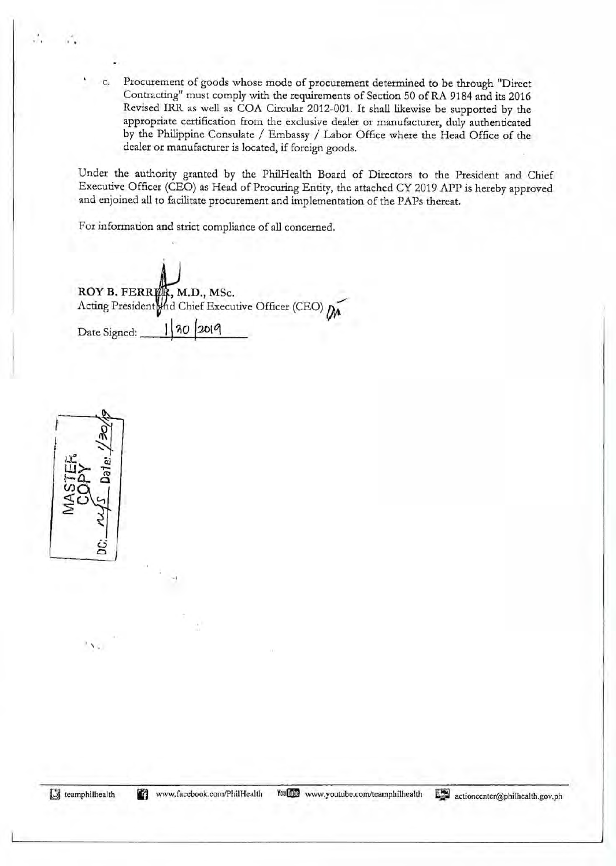c. Procurement of goods whose mode of procurement determined to be through "Direct Contracting" must comply with the requirements of Section 50 ofRA 9184 and its 2016 Revised IRR. as well as COA Circular 2012-001. It shall likewise be supported by the appropriate certification from the exclusive dealer or manufacturer, duly authenticated by the Philippine Consulate / Embassy / Labor Office where the Head Office of the dealer or manufacturer is located, if foreign goods.

Under the authority granted by the PhilHealth Board of Directors to the President and Chief Executive Officer (CEO) as Head of Procuring Entity, the attached CY 2019 APP is hereby approved and enjoined all to facilitate procurement and implementation of the PAPs thereat.

For information and strict compliance of all concerned.

ROY B. FERRER, M.D., MSc. Acting President and Chief Executive Officer (CEO) Date Signed: 1 30 2019

- I



 $\ddot{\cdot}$ 

 $\lambda$  .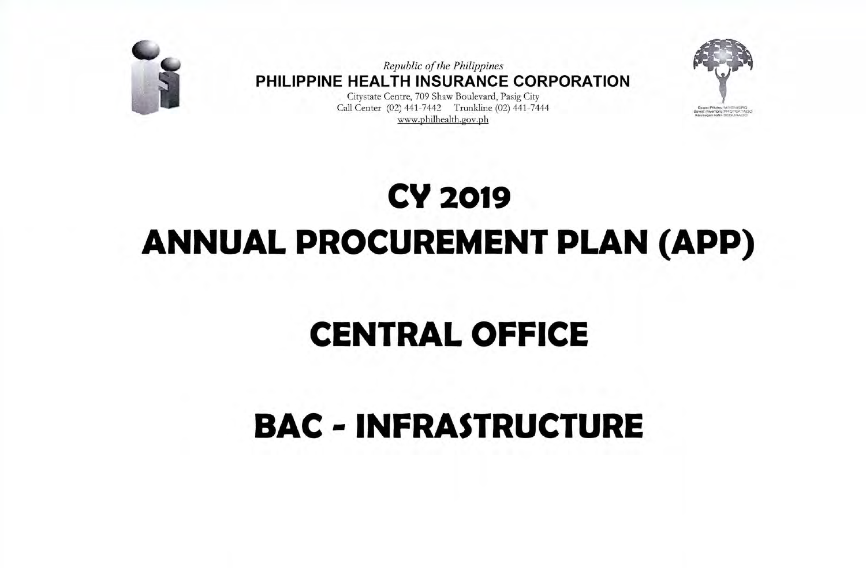

Republic of the Philippines PHILIPPINE HEALTH INSURANCE CORPORATION

Citystate Centre, 709 Shaw Boulevard, Pasig City Call Center (02) 441-7442 Trunkline (02) 441-7444 www.philhealth.gov.ph



# **CY 2019 ANNUAL PROCUREMENT PLAN (APP)**

# **CENTRAL OFFICE**

## **BAC - INFRASTRUCTURE**